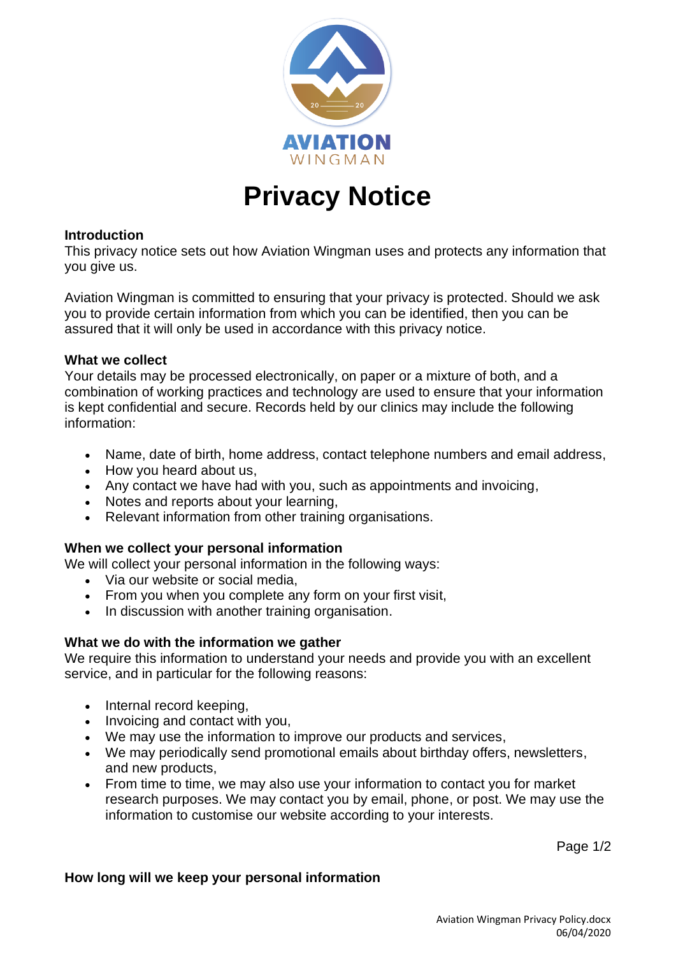

# **Privacy Notice**

## **Introduction**

This privacy notice sets out how Aviation Wingman uses and protects any information that you give us.

Aviation Wingman is committed to ensuring that your privacy is protected. Should we ask you to provide certain information from which you can be identified, then you can be assured that it will only be used in accordance with this privacy notice.

## **What we collect**

Your details may be processed electronically, on paper or a mixture of both, and a combination of working practices and technology are used to ensure that your information is kept confidential and secure. Records held by our clinics may include the following information:

- Name, date of birth, home address, contact telephone numbers and email address,
- How you heard about us,
- Any contact we have had with you, such as appointments and invoicing,
- Notes and reports about your learning,
- Relevant information from other training organisations.

# **When we collect your personal information**

We will collect your personal information in the following ways:

- Via our website or social media,
- From you when you complete any form on your first visit,
- In discussion with another training organisation.

# **What we do with the information we gather**

We require this information to understand your needs and provide you with an excellent service, and in particular for the following reasons:

- Internal record keeping,
- Invoicing and contact with you,
- We may use the information to improve our products and services,
- We may periodically send promotional emails about birthday offers, newsletters, and new products,
- From time to time, we may also use your information to contact you for market research purposes. We may contact you by email, phone, or post. We may use the information to customise our website according to your interests.

Page 1/2

#### **How long will we keep your personal information**